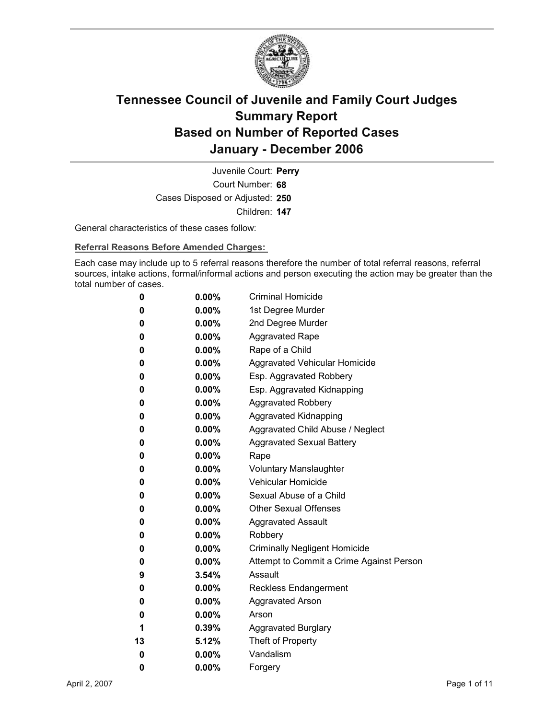

Court Number: **68** Juvenile Court: **Perry** Cases Disposed or Adjusted: **250** Children: **147**

General characteristics of these cases follow:

**Referral Reasons Before Amended Charges:** 

Each case may include up to 5 referral reasons therefore the number of total referral reasons, referral sources, intake actions, formal/informal actions and person executing the action may be greater than the total number of cases.

| 0  | $0.00\%$ | <b>Criminal Homicide</b>                 |
|----|----------|------------------------------------------|
| 0  | $0.00\%$ | 1st Degree Murder                        |
| 0  | $0.00\%$ | 2nd Degree Murder                        |
| 0  | $0.00\%$ | <b>Aggravated Rape</b>                   |
| 0  | $0.00\%$ | Rape of a Child                          |
| 0  | $0.00\%$ | Aggravated Vehicular Homicide            |
| 0  | $0.00\%$ | Esp. Aggravated Robbery                  |
| 0  | $0.00\%$ | Esp. Aggravated Kidnapping               |
| 0  | $0.00\%$ | <b>Aggravated Robbery</b>                |
| 0  | $0.00\%$ | <b>Aggravated Kidnapping</b>             |
| 0  | $0.00\%$ | Aggravated Child Abuse / Neglect         |
| 0  | $0.00\%$ | <b>Aggravated Sexual Battery</b>         |
| 0  | $0.00\%$ | Rape                                     |
| 0  | $0.00\%$ | <b>Voluntary Manslaughter</b>            |
| 0  | $0.00\%$ | <b>Vehicular Homicide</b>                |
| 0  | $0.00\%$ | Sexual Abuse of a Child                  |
| 0  | $0.00\%$ | <b>Other Sexual Offenses</b>             |
| 0  | $0.00\%$ | <b>Aggravated Assault</b>                |
| 0  | $0.00\%$ | Robbery                                  |
| 0  | $0.00\%$ | <b>Criminally Negligent Homicide</b>     |
| 0  | $0.00\%$ | Attempt to Commit a Crime Against Person |
| 9  | $3.54\%$ | Assault                                  |
| 0  | $0.00\%$ | <b>Reckless Endangerment</b>             |
| 0  | $0.00\%$ | <b>Aggravated Arson</b>                  |
| 0  | $0.00\%$ | Arson                                    |
| 1  | $0.39\%$ | <b>Aggravated Burglary</b>               |
| 13 | 5.12%    | Theft of Property                        |
| 0  | $0.00\%$ | Vandalism                                |
| 0  | 0.00%    | Forgery                                  |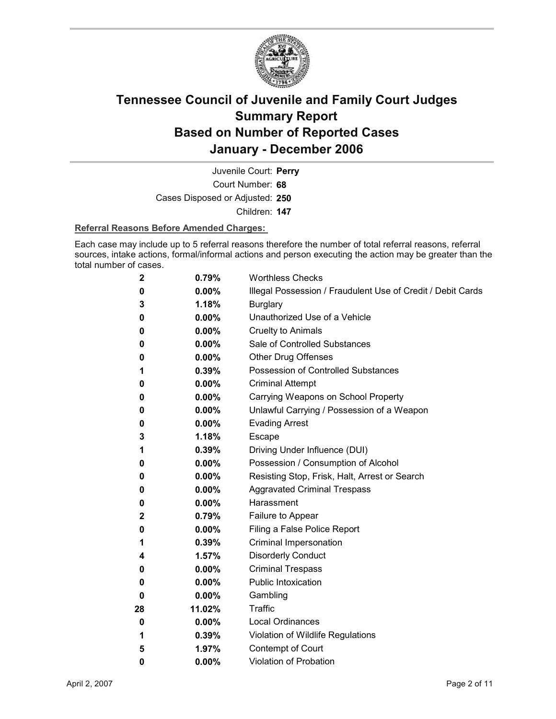

Court Number: **68** Juvenile Court: **Perry** Cases Disposed or Adjusted: **250** Children: **147**

### **Referral Reasons Before Amended Charges:**

Each case may include up to 5 referral reasons therefore the number of total referral reasons, referral sources, intake actions, formal/informal actions and person executing the action may be greater than the total number of cases.

| 2  | 0.79%    | <b>Worthless Checks</b>                                     |
|----|----------|-------------------------------------------------------------|
| 0  | $0.00\%$ | Illegal Possession / Fraudulent Use of Credit / Debit Cards |
| 3  | 1.18%    | <b>Burglary</b>                                             |
| 0  | $0.00\%$ | Unauthorized Use of a Vehicle                               |
| 0  | $0.00\%$ | <b>Cruelty to Animals</b>                                   |
| 0  | $0.00\%$ | Sale of Controlled Substances                               |
| 0  | $0.00\%$ | <b>Other Drug Offenses</b>                                  |
| 1  | 0.39%    | Possession of Controlled Substances                         |
| 0  | $0.00\%$ | <b>Criminal Attempt</b>                                     |
| 0  | $0.00\%$ | Carrying Weapons on School Property                         |
| 0  | $0.00\%$ | Unlawful Carrying / Possession of a Weapon                  |
| 0  | $0.00\%$ | <b>Evading Arrest</b>                                       |
| 3  | 1.18%    | Escape                                                      |
| 1  | 0.39%    | Driving Under Influence (DUI)                               |
| 0  | $0.00\%$ | Possession / Consumption of Alcohol                         |
| 0  | $0.00\%$ | Resisting Stop, Frisk, Halt, Arrest or Search               |
| 0  | $0.00\%$ | <b>Aggravated Criminal Trespass</b>                         |
| 0  | $0.00\%$ | Harassment                                                  |
| 2  | 0.79%    | Failure to Appear                                           |
| 0  | $0.00\%$ | Filing a False Police Report                                |
| 1  | 0.39%    | Criminal Impersonation                                      |
| 4  | 1.57%    | <b>Disorderly Conduct</b>                                   |
| 0  | $0.00\%$ | <b>Criminal Trespass</b>                                    |
| 0  | $0.00\%$ | <b>Public Intoxication</b>                                  |
| 0  | $0.00\%$ | Gambling                                                    |
| 28 | 11.02%   | <b>Traffic</b>                                              |
| 0  | $0.00\%$ | <b>Local Ordinances</b>                                     |
| 1  | 0.39%    | Violation of Wildlife Regulations                           |
| 5  | 1.97%    | Contempt of Court                                           |
| 0  | $0.00\%$ | <b>Violation of Probation</b>                               |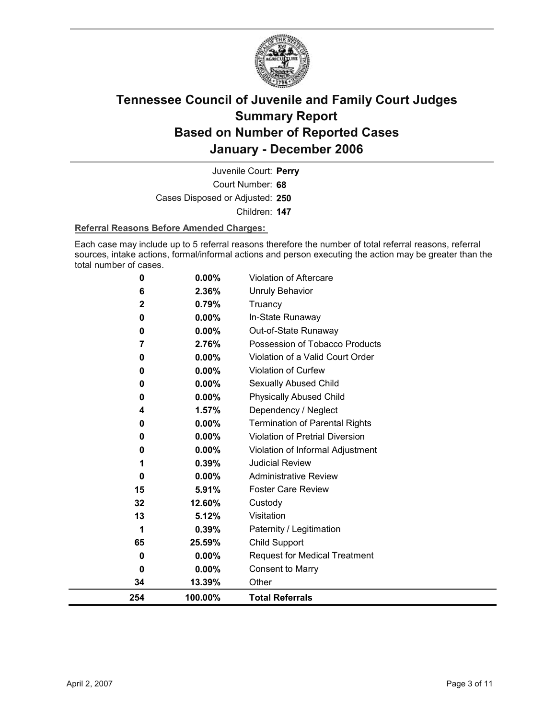

Court Number: **68** Juvenile Court: **Perry** Cases Disposed or Adjusted: **250** Children: **147**

### **Referral Reasons Before Amended Charges:**

Each case may include up to 5 referral reasons therefore the number of total referral reasons, referral sources, intake actions, formal/informal actions and person executing the action may be greater than the total number of cases.

| 254              | 100.00%        | <b>Total Referrals</b>                |
|------------------|----------------|---------------------------------------|
| 34               | 13.39%         | Other                                 |
| 0                | $0.00\%$       | <b>Consent to Marry</b>               |
| 0                | $0.00\%$       | <b>Request for Medical Treatment</b>  |
| 65               | 25.59%         | Child Support                         |
| 1                | 0.39%          | Paternity / Legitimation              |
| 13               | 5.12%          | Visitation                            |
| 32               | 12.60%         | Custody                               |
| 15               | 5.91%          | <b>Foster Care Review</b>             |
| $\bf{0}$         | 0.00%          | <b>Administrative Review</b>          |
| 1                | 0.39%          | <b>Judicial Review</b>                |
| 0                | 0.00%          | Violation of Informal Adjustment      |
| 0                | 0.00%          | Violation of Pretrial Diversion       |
| 0                | 0.00%          | <b>Termination of Parental Rights</b> |
| 4                | 1.57%          | Dependency / Neglect                  |
| 0                | $0.00\%$       | <b>Physically Abused Child</b>        |
| 0                | 0.00%          | Sexually Abused Child                 |
| 0                | 0.00%          | <b>Violation of Curfew</b>            |
| 0                | 0.00%          | Violation of a Valid Court Order      |
| 7                | 2.76%          | Possession of Tobacco Products        |
| 0                | $0.00\%$       | Out-of-State Runaway                  |
| 0                | $0.00\%$       | In-State Runaway                      |
| 6<br>$\mathbf 2$ | 2.36%<br>0.79% | <b>Unruly Behavior</b><br>Truancy     |
|                  |                |                                       |
| 0                | 0.00%          | <b>Violation of Aftercare</b>         |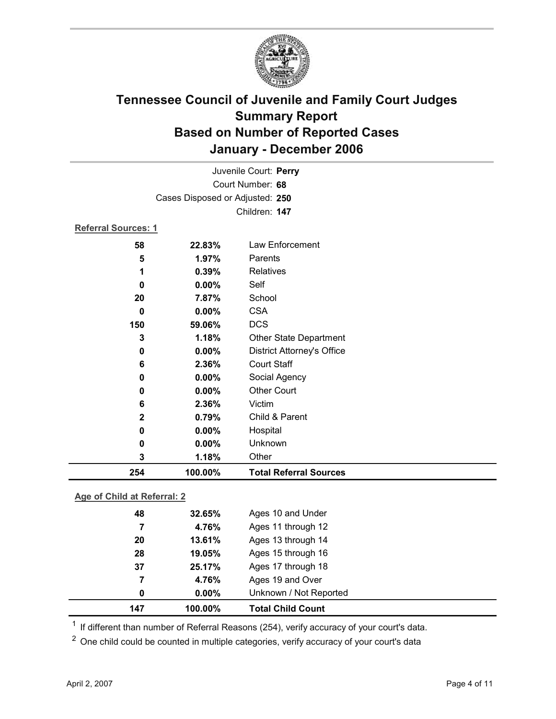

| Juvenile Court: Perry |                                 |                                   |  |  |
|-----------------------|---------------------------------|-----------------------------------|--|--|
| Court Number: 68      |                                 |                                   |  |  |
|                       | Cases Disposed or Adjusted: 250 |                                   |  |  |
|                       |                                 | Children: 147                     |  |  |
| Referral Sources: 1   |                                 |                                   |  |  |
| 58                    | 22.83%                          | Law Enforcement                   |  |  |
| 5                     | 1.97%                           | Parents                           |  |  |
| 1                     | 0.39%                           | Relatives                         |  |  |
| 0                     | 0.00%                           | Self                              |  |  |
| 20                    | 7.87%                           | School                            |  |  |
| $\mathbf 0$           | 0.00%                           | <b>CSA</b>                        |  |  |
| 150                   | 59.06%                          | <b>DCS</b>                        |  |  |
| 3                     | 1.18%                           | Other State Department            |  |  |
| 0                     | 0.00%                           | <b>District Attorney's Office</b> |  |  |
| 6                     | 2.36%                           | <b>Court Staff</b>                |  |  |
| 0                     | 0.00%                           | Social Agency                     |  |  |
| 0                     | 0.00%                           | <b>Other Court</b>                |  |  |
| 6                     | 2.36%                           | Victim                            |  |  |
| $\mathbf{2}$          | 0.79%                           | Child & Parent                    |  |  |
| 0                     | 0.00%                           | Hospital                          |  |  |
| 0                     | 0.00%                           | Unknown                           |  |  |
| 3                     | 1.18%                           | Other                             |  |  |
| 254                   | 100.00%                         | <b>Total Referral Sources</b>     |  |  |

### **Age of Child at Referral: 2**

| 147 | 100.00%  | <b>Total Child Count</b> |
|-----|----------|--------------------------|
| 0   | $0.00\%$ | Unknown / Not Reported   |
| 7   | 4.76%    | Ages 19 and Over         |
| 37  | 25.17%   | Ages 17 through 18       |
| 28  | 19.05%   | Ages 15 through 16       |
| 20  | 13.61%   | Ages 13 through 14       |
| 7   | 4.76%    | Ages 11 through 12       |
| 48  | 32.65%   | Ages 10 and Under        |
|     |          |                          |

 $1$  If different than number of Referral Reasons (254), verify accuracy of your court's data.

<sup>2</sup> One child could be counted in multiple categories, verify accuracy of your court's data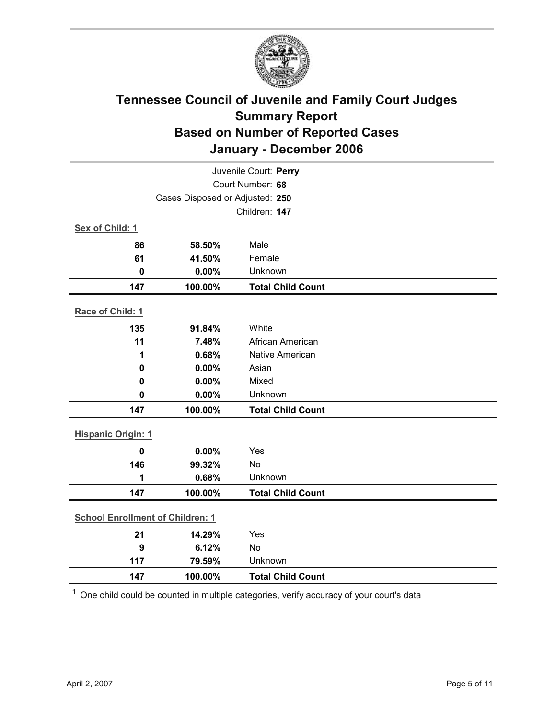

| Juvenile Court: Perry                   |                                 |                          |  |  |
|-----------------------------------------|---------------------------------|--------------------------|--|--|
|                                         | Court Number: 68                |                          |  |  |
|                                         | Cases Disposed or Adjusted: 250 |                          |  |  |
|                                         |                                 | Children: 147            |  |  |
| Sex of Child: 1                         |                                 |                          |  |  |
| 86                                      | 58.50%                          | Male                     |  |  |
| 61                                      | 41.50%                          | Female                   |  |  |
| $\mathbf 0$                             | 0.00%                           | Unknown                  |  |  |
| 147                                     | 100.00%                         | <b>Total Child Count</b> |  |  |
| Race of Child: 1                        |                                 |                          |  |  |
| 135                                     | 91.84%                          | White                    |  |  |
| 11                                      | 7.48%                           | African American         |  |  |
| 1                                       | 0.68%                           | Native American          |  |  |
| $\mathbf 0$                             | 0.00%                           | Asian                    |  |  |
| $\mathbf 0$                             | 0.00%                           | Mixed                    |  |  |
| $\mathbf 0$                             | 0.00%                           | Unknown                  |  |  |
| 147                                     | 100.00%                         | <b>Total Child Count</b> |  |  |
| <b>Hispanic Origin: 1</b>               |                                 |                          |  |  |
| $\mathbf 0$                             | 0.00%                           | Yes                      |  |  |
| 146                                     | 99.32%                          | No                       |  |  |
| 1                                       | 0.68%                           | Unknown                  |  |  |
| 147                                     | 100.00%                         | <b>Total Child Count</b> |  |  |
| <b>School Enrollment of Children: 1</b> |                                 |                          |  |  |
| 21                                      | 14.29%                          | Yes                      |  |  |
| 9                                       | 6.12%                           | <b>No</b>                |  |  |
| 117                                     | 79.59%                          | Unknown                  |  |  |
| 147                                     | 100.00%                         | <b>Total Child Count</b> |  |  |

 $1$  One child could be counted in multiple categories, verify accuracy of your court's data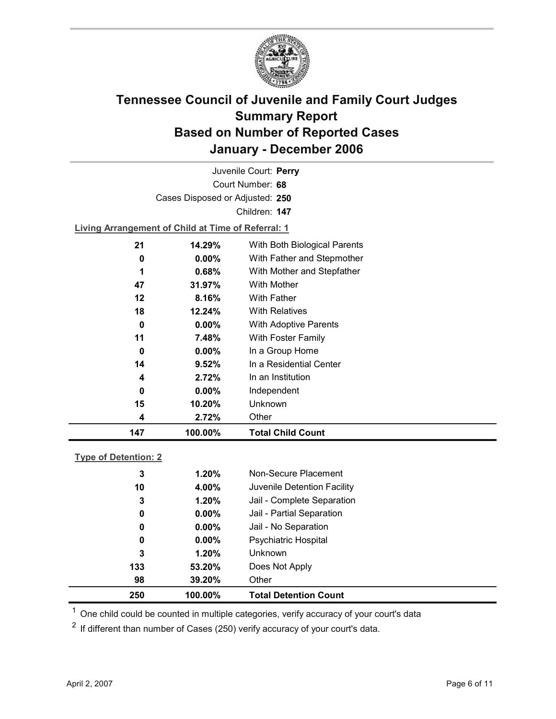

Court Number: **68** Juvenile Court: **Perry** Cases Disposed or Adjusted: **250** Children: **147**

**Living Arrangement of Child at Time of Referral: 1**

| 147 | 100.00%   | <b>Total Child Count</b>     |
|-----|-----------|------------------------------|
| 4   | 2.72%     | Other                        |
| 15  | 10.20%    | <b>Unknown</b>               |
| 0   | $0.00\%$  | Independent                  |
| 4   | 2.72%     | In an Institution            |
| 14  | 9.52%     | In a Residential Center      |
| 0   | $0.00\%$  | In a Group Home              |
| 11  | 7.48%     | With Foster Family           |
| 0   | $0.00\%$  | <b>With Adoptive Parents</b> |
| 18  | 12.24%    | <b>With Relatives</b>        |
| 12  | 8.16%     | <b>With Father</b>           |
| 47  | $31.97\%$ | <b>With Mother</b>           |
| 1   | 0.68%     | With Mother and Stepfather   |
| 0   | $0.00\%$  | With Father and Stepmother   |
| 21  | 14.29%    | With Both Biological Parents |
|     |           |                              |

### **Type of Detention: 2**

| 250         | 100.00%   | <b>Total Detention Count</b> |  |
|-------------|-----------|------------------------------|--|
| 98          | $39.20\%$ | Other                        |  |
| 133         | 53.20%    | Does Not Apply               |  |
| 3           | 1.20%     | <b>Unknown</b>               |  |
| 0           | $0.00\%$  | <b>Psychiatric Hospital</b>  |  |
| 0           | $0.00\%$  | Jail - No Separation         |  |
| $\mathbf 0$ | $0.00\%$  | Jail - Partial Separation    |  |
| 3           | 1.20%     | Jail - Complete Separation   |  |
| 10          | 4.00%     | Juvenile Detention Facility  |  |
| 3           | 1.20%     | Non-Secure Placement         |  |
|             |           |                              |  |

 $<sup>1</sup>$  One child could be counted in multiple categories, verify accuracy of your court's data</sup>

 $2$  If different than number of Cases (250) verify accuracy of your court's data.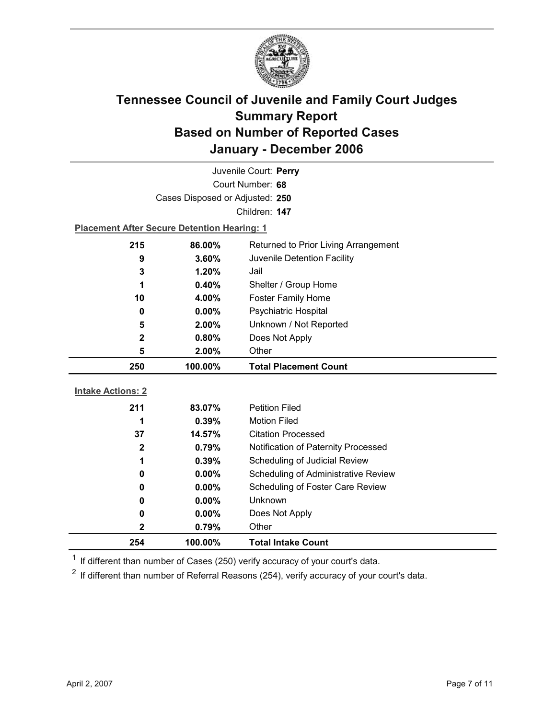

| Juvenile Court: Perry    |                                                    |                                            |  |  |
|--------------------------|----------------------------------------------------|--------------------------------------------|--|--|
| Court Number: 68         |                                                    |                                            |  |  |
|                          | Cases Disposed or Adjusted: 250                    |                                            |  |  |
|                          |                                                    | Children: 147                              |  |  |
|                          | <b>Placement After Secure Detention Hearing: 1</b> |                                            |  |  |
| 215                      | 86.00%                                             | Returned to Prior Living Arrangement       |  |  |
| 9                        | 3.60%                                              | Juvenile Detention Facility                |  |  |
| 3                        | 1.20%                                              | Jail                                       |  |  |
| 1                        | 0.40%                                              | Shelter / Group Home                       |  |  |
| 10                       | 4.00%                                              | <b>Foster Family Home</b>                  |  |  |
| $\bf{0}$                 | $0.00\%$                                           | <b>Psychiatric Hospital</b>                |  |  |
| 5                        | 2.00%                                              | Unknown / Not Reported                     |  |  |
| 2                        | 0.80%                                              | Does Not Apply                             |  |  |
| 5                        | 2.00%                                              | Other                                      |  |  |
|                          |                                                    |                                            |  |  |
| 250                      | 100.00%                                            | <b>Total Placement Count</b>               |  |  |
|                          |                                                    |                                            |  |  |
| <b>Intake Actions: 2</b> |                                                    |                                            |  |  |
| 211                      | 83.07%                                             | <b>Petition Filed</b>                      |  |  |
| 1                        | 0.39%                                              | <b>Motion Filed</b>                        |  |  |
| 37                       | 14.57%                                             | <b>Citation Processed</b>                  |  |  |
| $\mathbf{2}$             | 0.79%                                              | Notification of Paternity Processed        |  |  |
| 1                        | 0.39%                                              | Scheduling of Judicial Review              |  |  |
| 0                        | $0.00\%$                                           | <b>Scheduling of Administrative Review</b> |  |  |
| 0                        | $0.00\%$                                           | Scheduling of Foster Care Review           |  |  |
| 0                        | 0.00%                                              | Unknown                                    |  |  |
| 0                        | 0.00%                                              | Does Not Apply                             |  |  |
| 2<br>254                 | 0.79%                                              | Other                                      |  |  |

 $1$  If different than number of Cases (250) verify accuracy of your court's data.

 $2$  If different than number of Referral Reasons (254), verify accuracy of your court's data.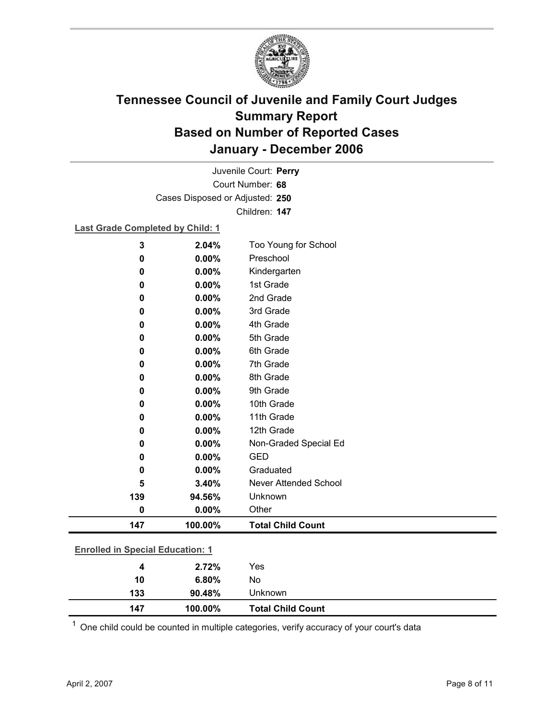

Court Number: **68** Juvenile Court: **Perry** Cases Disposed or Adjusted: **250** Children: **147**

### **Last Grade Completed by Child: 1**

| 3                                       | 2.04%   | Too Young for School     |
|-----------------------------------------|---------|--------------------------|
| 0                                       | 0.00%   | Preschool                |
| 0                                       | 0.00%   | Kindergarten             |
| 0                                       | 0.00%   | 1st Grade                |
| 0                                       | 0.00%   | 2nd Grade                |
| 0                                       | 0.00%   | 3rd Grade                |
| 0                                       | 0.00%   | 4th Grade                |
| 0                                       | 0.00%   | 5th Grade                |
| 0                                       | 0.00%   | 6th Grade                |
| 0                                       | 0.00%   | 7th Grade                |
| 0                                       | 0.00%   | 8th Grade                |
| 0                                       | 0.00%   | 9th Grade                |
| 0                                       | 0.00%   | 10th Grade               |
| 0                                       | 0.00%   | 11th Grade               |
| 0                                       | 0.00%   | 12th Grade               |
| 0                                       | 0.00%   | Non-Graded Special Ed    |
| 0                                       | 0.00%   | <b>GED</b>               |
| 0                                       | 0.00%   | Graduated                |
| 5                                       | 3.40%   | Never Attended School    |
| 139                                     | 94.56%  | Unknown                  |
| $\pmb{0}$                               | 0.00%   | Other                    |
| 147                                     | 100.00% | <b>Total Child Count</b> |
| <b>Enrolled in Special Education: 1</b> |         |                          |
|                                         |         |                          |
| 4                                       | 2.72%   | Yes                      |
| 10                                      | 6.80%   | No                       |

 $1$  One child could be counted in multiple categories, verify accuracy of your court's data

**133 90.48%** Unknown

**147 100.00% Total Child Count**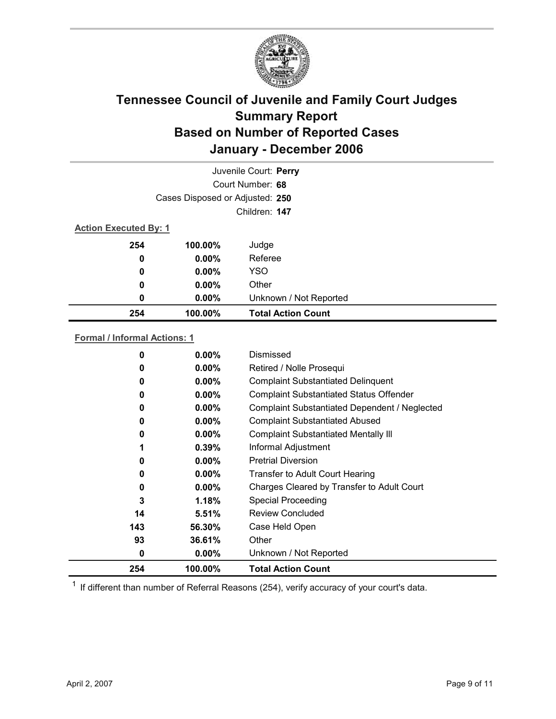

| Juvenile Court: Perry        |                                 |                           |  |  |  |
|------------------------------|---------------------------------|---------------------------|--|--|--|
|                              |                                 |                           |  |  |  |
|                              | Cases Disposed or Adjusted: 250 |                           |  |  |  |
|                              | Children: 147                   |                           |  |  |  |
| <b>Action Executed By: 1</b> |                                 |                           |  |  |  |
| 254                          | 100.00%                         | Judge                     |  |  |  |
| 0                            | $0.00\%$                        | Referee                   |  |  |  |
| 0                            | $0.00\%$                        | <b>YSO</b>                |  |  |  |
| 0                            | $0.00\%$                        | Other                     |  |  |  |
| 0                            | $0.00\%$                        | Unknown / Not Reported    |  |  |  |
| 254                          | 100.00%                         | <b>Total Action Count</b> |  |  |  |

### **Formal / Informal Actions: 1**

| 254 | 100.00%  | <b>Total Action Count</b>                      |
|-----|----------|------------------------------------------------|
| 0   | $0.00\%$ | Unknown / Not Reported                         |
| 93  | 36.61%   | Other                                          |
| 143 | 56.30%   | Case Held Open                                 |
| 14  | 5.51%    | <b>Review Concluded</b>                        |
| 3   | 1.18%    | <b>Special Proceeding</b>                      |
| 0   | $0.00\%$ | Charges Cleared by Transfer to Adult Court     |
| 0   | $0.00\%$ | <b>Transfer to Adult Court Hearing</b>         |
| 0   | $0.00\%$ | <b>Pretrial Diversion</b>                      |
| 1   | 0.39%    | Informal Adjustment                            |
| 0   | $0.00\%$ | <b>Complaint Substantiated Mentally III</b>    |
| 0   | $0.00\%$ | <b>Complaint Substantiated Abused</b>          |
| 0   | $0.00\%$ | Complaint Substantiated Dependent / Neglected  |
| 0   | $0.00\%$ | <b>Complaint Substantiated Status Offender</b> |
| 0   | $0.00\%$ | <b>Complaint Substantiated Delinquent</b>      |
| 0   | $0.00\%$ | Retired / Nolle Prosequi                       |
| 0   | $0.00\%$ | Dismissed                                      |
|     |          |                                                |

 $1$  If different than number of Referral Reasons (254), verify accuracy of your court's data.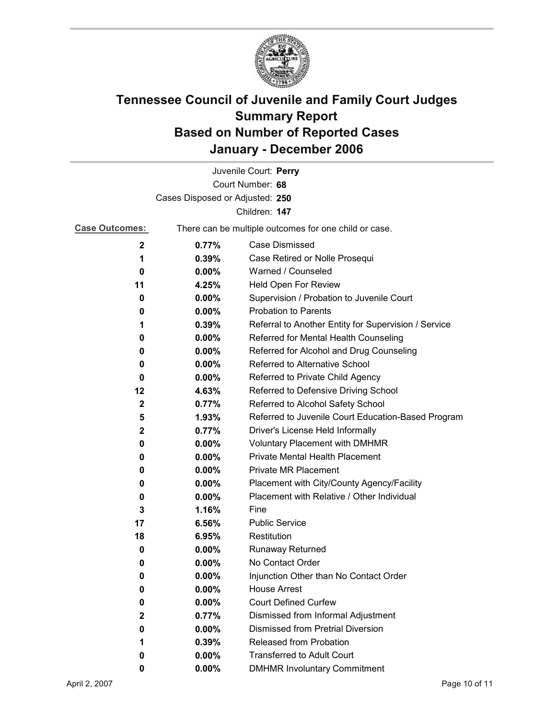

|                       |                                 | Juvenile Court: Perry                                 |  |
|-----------------------|---------------------------------|-------------------------------------------------------|--|
|                       |                                 | Court Number: 68                                      |  |
|                       | Cases Disposed or Adjusted: 250 |                                                       |  |
|                       |                                 | Children: 147                                         |  |
| <b>Case Outcomes:</b> |                                 | There can be multiple outcomes for one child or case. |  |
| $\mathbf{2}$          | 0.77%                           | Case Dismissed                                        |  |
| 1                     | $0.39\%$                        | Case Retired or Nolle Prosequi                        |  |
| 0                     | $0.00\%$                        | Warned / Counseled                                    |  |
| 11                    | 4.25%                           | Held Open For Review                                  |  |
| 0                     | $0.00\%$                        | Supervision / Probation to Juvenile Court             |  |
| 0                     | $0.00\%$                        | <b>Probation to Parents</b>                           |  |
| 1                     | 0.39%                           | Referral to Another Entity for Supervision / Service  |  |
| 0                     | $0.00\%$                        | Referred for Mental Health Counseling                 |  |
| 0                     | $0.00\%$                        | Referred for Alcohol and Drug Counseling              |  |
| 0                     | $0.00\%$                        | Referred to Alternative School                        |  |
| 0                     | $0.00\%$                        | Referred to Private Child Agency                      |  |
| 12                    | 4.63%                           | Referred to Defensive Driving School                  |  |
| $\mathbf{2}$          | 0.77%                           | Referred to Alcohol Safety School                     |  |
| 5                     | 1.93%                           | Referred to Juvenile Court Education-Based Program    |  |
| $\mathbf{2}$          | 0.77%                           | Driver's License Held Informally                      |  |
| 0                     | $0.00\%$                        | <b>Voluntary Placement with DMHMR</b>                 |  |
| 0                     | $0.00\%$                        | Private Mental Health Placement                       |  |
| 0                     | 0.00%                           | <b>Private MR Placement</b>                           |  |
| 0                     | $0.00\%$                        | Placement with City/County Agency/Facility            |  |
| 0                     | $0.00\%$                        | Placement with Relative / Other Individual            |  |
| 3                     | 1.16%                           | Fine                                                  |  |
| 17                    | 6.56%                           | <b>Public Service</b>                                 |  |
| 18                    | 6.95%                           | Restitution                                           |  |
| 0                     | $0.00\%$                        | Runaway Returned                                      |  |
| 0                     | $0.00\%$                        | No Contact Order                                      |  |
| U                     | 0.00%                           | Injunction Other than No Contact Order                |  |
| 0                     | 0.00%                           | <b>House Arrest</b>                                   |  |
| 0                     | $0.00\%$                        | <b>Court Defined Curfew</b>                           |  |
| $\mathbf{2}$          | 0.77%                           | Dismissed from Informal Adjustment                    |  |
| 0                     | $0.00\%$                        | <b>Dismissed from Pretrial Diversion</b>              |  |
| 1                     | 0.39%                           | Released from Probation                               |  |
| 0                     | $0.00\%$                        | <b>Transferred to Adult Court</b>                     |  |
| 0                     | $0.00\%$                        | <b>DMHMR Involuntary Commitment</b>                   |  |